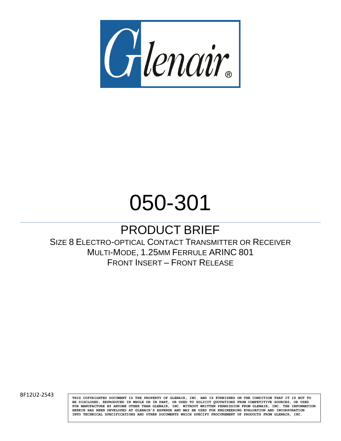

## 050-301

### PRODUCT BRIEF

SIZE 8 ELECTRO-OPTICAL CONTACT TRANSMITTER OR RECEIVER MULTI-MODE, 1.25MM FERRULE ARINC 801 FRONT INSERT – FRONT RELEASE

BF12U2-2543 **THIS COPYRIGHTED DOCUMENT IS THE PROPERTY OF GLENAIR**, INC. AND IS FURNISHED ON THE CONDITION THAT IT IS NOT TO **BE DISCLOSED, REPRODUCED IN WHOLE OR IN PART, OR USED TO SOLICIT QUOTATIONS FROM COMPETITIVE SOURCES, OR USED FOR MANUFACTURE BY ANYONE OTHER THAN GLENAIR, INC. WITHOUT WRITTEN PERMISSION FROM GLENAIR, INC. THE INFORMATION HEREIN HAS BEEN DEVELOPED AT GLENAIR'S EXPENSE AND MAY BE USED FOR ENGINEERING EVALUATION AND INCORPORATION INTO TECHNICAL SPECIFICATIONS AND OTHER DOCUMENTS WHICH SPECIFY PROCUREMENT OF PRODUCTS FROM GLENAIR, INC.**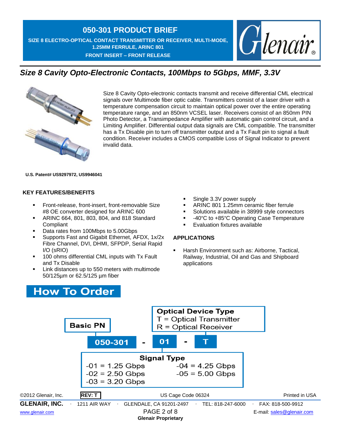**050-301 PRODUCT BRIEF SIZE 8 ELECTRO-OPTICAL CONTACT TRANSMITTER OR RECEIVER, MULTI-MODE, 1.25MM FERRULE, ARINC 801 FRONT INSERT – FRONT RELEASE** 



### *Size 8 Cavity Opto-Electronic Contacts, 100Mbps to 5Gbps, MMF, 3.3V*



Size 8 Cavity Opto-electronic contacts transmit and receive differential CML electrical signals over Multimode fiber optic cable. Transmitters consist of a laser driver with a temperature compensation circuit to maintain optical power over the entire operating temperature range, and an 850nm VCSEL laser. Receivers consist of an 850nm PIN Photo Detector, a Transimpedance Amplifier with automatic gain control circuit, and a Limiting Amplifier. Differential output data signals are CML compatible. The transmitter has a Tx Disable pin to turn off transmitter output and a Tx Fault pin to signal a fault condition. Receiver includes a CMOS compatible Loss of Signal Indicator to prevent invalid data.

### **U.S. Patent# US9297972, US9946041**

### **KEY FEATURES/BENEFITS**

- Front-release, front-insert, front-removable Size #8 OE converter designed for ARINC 600
- **EXECUTE:** ARINC 664, 801, 803, 804, and 818 Standard **Compliant**
- Data rates from 100Mbps to 5.00Gbps
- Supports Fast and Gigabit Ethernet, AFDX, 1x/2x Fibre Channel, DVI, DHMI, SFPDP, Serial Rapid I/O (sRIO)
- 100 ohms differential CML inputs with Tx Fault and Tx Disable
- Link distances up to 550 meters with multimode 50/125µm or 62.5/125 µm fiber
- Single 3.3V power supply
- ARINC 801 1.25mm ceramic fiber ferrule
- Solutions available in 38999 style connectors
- -40°C to +85°C Operating Case Temperature
- Evaluation fixtures available

### **APPLICATIONS**

Harsh Environment such as: Airborne, Tactical, Railway, Industrial, Oil and Gas and Shipboard applications



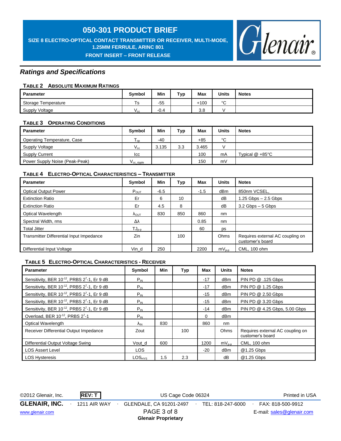**SIZE 8 ELECTRO-OPTICAL CONTACT TRANSMITTER OR RECEIVER, MULTI-MODE, 1.25MM FERRULE, ARINC 801**

**FRONT INSERT – FRONT RELEASE** 



### *Ratings and Specifications*

### **TABLE 2 ABSOLUTE MAXIMUM RATINGS**

| Parameter           | <b>Symbol</b>   | Min    | Typ | Max    | <b>Units</b> | <b>Notes</b> |
|---------------------|-----------------|--------|-----|--------|--------------|--------------|
| Storage Temperature | . S             | $-55$  |     | $+100$ | $\sim$<br>◡  |              |
| Supply Voltage      | v <sub>сс</sub> | $-0.4$ |     | 3.8    |              |              |

### **TABLE 3 OPERATING CONDITIONS**

| Parameter                      | <b>Symbol</b>       | Min   | Typ | Max   | Units | <b>Notes</b>              |
|--------------------------------|---------------------|-------|-----|-------|-------|---------------------------|
| Operating Temperature, Case    | l on                | $-40$ |     | $+85$ | °C    |                           |
| Supply Voltage                 | $V_{\rm cc}$        | 3.135 | 3.3 | 3.465 |       |                           |
| <b>Supply Current</b>          | lcc                 |       |     | 100   | mA    | Typical $@ + 85^{\circ}C$ |
| Power Supply Noise (Peak-Peak) | $V_{\rm CC}$ ripple |       |     | 150   | mV    |                           |

### **TABLE 4 ELECTRO-OPTICAL CHARACTERISTICS – TRANSMITTER**

| <b>Parameter</b>                         | Symbol                 | Min    | Typ | Max    | <b>Units</b> | <b>Notes</b>                                         |
|------------------------------------------|------------------------|--------|-----|--------|--------------|------------------------------------------------------|
| <b>Optical Output Power</b>              | $P_{OUT}$              | $-6.5$ |     | $-1.5$ | dBm          | 850nm VCSEL,                                         |
| <b>Extinction Ratio</b>                  | Er                     | 6      | 10  |        | dB           | $1.25$ Gbps $-2.5$ Gbps                              |
| <b>Extinction Ratio</b>                  | Er                     | 4.5    | 8   |        | dB           | $3.2$ Gbps $-5$ Gbps                                 |
| Optical Wavelength                       | $\Lambda_{\text{OUT}}$ | 830    | 850 | 860    | nm           |                                                      |
| Spectral Width, rms                      | Δλ                     |        |     | 0.85   | nm           |                                                      |
| <b>Total Jitter</b>                      | $TJ_{p-p}$             |        |     | 60     | ps           |                                                      |
| Transmitter Differential Input Impedance | Zin                    |        | 100 |        | Ohms         | Requires external AC coupling on<br>customer's board |
| Differential Input Voltage               | Vin d                  | 250    |     | 2200   | $mV_{p-p}$   | CML, 100 ohm                                         |

### **TABLE 5 ELECTRO-OPTICAL CHARACTERISTICS - RECEIVER**

| <b>Parameter</b>                                                     | Symbol             | Min | Typ | Max   | <b>Units</b>    | <b>Notes</b>                                         |
|----------------------------------------------------------------------|--------------------|-----|-----|-------|-----------------|------------------------------------------------------|
| Sensitivity, BER 10 <sup>-12</sup> , PRBS 2 <sup>7</sup> -1, Er 9 dB | $P_{IN}$           |     |     | $-17$ | dBm             | PIN PD @ .125 Gbps                                   |
| Sensitivity, BER 10 <sup>-12</sup> , PRBS 2 <sup>7</sup> -1, Er 9 dB | $P_{IN}$           |     |     | $-17$ | dB <sub>m</sub> | PIN PD @ 1.25 Gbps                                   |
| Sensitivity, BER 10 <sup>-12</sup> , PRBS 2 <sup>7</sup> -1, Er 9 dB | $P_{IN}$           |     |     | $-15$ | dBm             | PIN PD @ 2.50 Gbps                                   |
| Sensitivity, BER 10-12, PRBS 27-1, Er 9 dB                           | $P_{IN}$           |     |     | $-15$ | dBm             | PIN PD @ 3.20 Gbps                                   |
| Sensitivity, BER 10-12, PRBS 27-1, Er 9 dB                           | $P_{IN}$           |     |     | $-14$ | dBm             | PIN PD @ 4.25 Gbps, 5.00 Gbps                        |
| Overload, BER 10-12, PRBS 27-1                                       | $P_{IN}$           |     |     | 0     | dBm             |                                                      |
| Optical Wavelength                                                   | $\Lambda_{\rm IN}$ | 830 |     | 860   | nm              |                                                      |
| Receiver Differential Output Impedance                               | Zout               |     | 100 |       | Ohms            | Requires external AC coupling on<br>customer's board |
| Differential Output Voltage Swing                                    | Vout d             | 600 |     | 1200  | $mV_{p-p}$      | CML, 100 ohm                                         |
| <b>LOS Assert Level</b>                                              | <b>LOS</b>         |     |     | $-20$ | dBm             | @1.25 Gbps                                           |
| <b>LOS Hysteresis</b>                                                | $LOS_{HYS}$        | 1.5 | 2.3 |       | dB              | @1.25 Gbps                                           |

©2012 Glenair, Inc. **REV: T** US Cage Code 06324 Printed in USA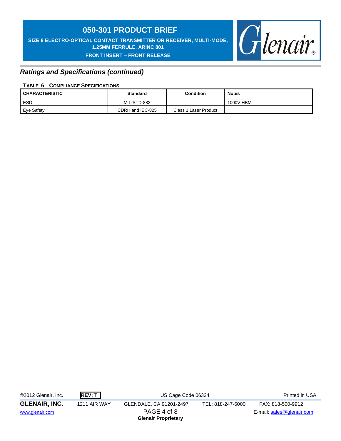**SIZE 8 ELECTRO-OPTICAL CONTACT TRANSMITTER OR RECEIVER, MULTI-MODE, 1.25MM FERRULE, ARINC 801 FRONT INSERT – FRONT RELEASE** 



### *Ratings and Specifications (continued)*

### **TABLE 6 COMPLIANCE SPECIFICATIONS**

| <b>CHARACTERISTIC</b> | <b>Standard</b>  | <b>Condition</b>      | <b>Notes</b> |  |  |  |
|-----------------------|------------------|-----------------------|--------------|--|--|--|
| <b>ESD</b>            | MIL-STD-883      |                       | 1000V HBM    |  |  |  |
| Eve Safety            | CDRH and IEC-825 | Class 1 Laser Product |              |  |  |  |

| ©2012 Glenair, Inc.  | REV: T       | US Cage Code 06324                        | Printed in USA    |                           |
|----------------------|--------------|-------------------------------------------|-------------------|---------------------------|
| <b>GLENAIR, INC.</b> | 1211 AIR WAY | GLENDALE, CA 91201-2497                   | TEL: 818-247-6000 | FAX: 818-500-9912         |
| www.glenair.com      |              | PAGE 4 of 8<br><b>Glenair Proprietary</b> |                   | E-mail: sales@glenair.com |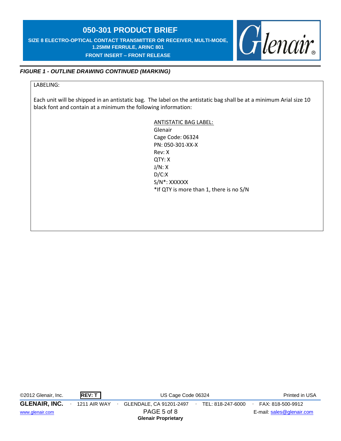**SIZE 8 ELECTRO-OPTICAL CONTACT TRANSMITTER OR RECEIVER, MULTI-MODE, 1.25MM FERRULE, ARINC 801 FRONT INSERT – FRONT RELEASE** 

# Glenair

### *FIGURE 1 - OUTLINE DRAWING CONTINUED (MARKING)*

### LABELING:

Each unit will be shipped in an antistatic bag. The label on the antistatic bag shall be at a minimum Arial size 10 black font and contain at a minimum the following information:

> ANTISTATIC BAG LABEL: Glenair Cage Code: 06324 PN: 050-301-XX-X Rev: X QTY: X J/N: X D/C:X S/N\*: XXXXXX \*If QTY is more than 1, there is no S/N

| ©2012 Glenair, Inc.  | REV: T              | US Cage Code 06324         | Printed in USA    |                           |
|----------------------|---------------------|----------------------------|-------------------|---------------------------|
| <b>GLENAIR, INC.</b> | <b>1211 AIR WAY</b> | GLENDALE, CA 91201-2497    | TEL: 818-247-6000 | FAX: 818-500-9912         |
| www.glenair.com      |                     | PAGE 5 of 8                |                   | E-mail: sales@glenair.com |
|                      |                     | <b>Glenair Proprietary</b> |                   |                           |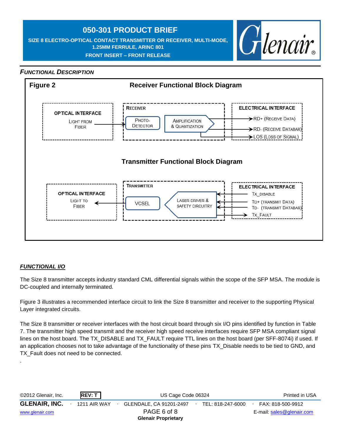**SIZE 8 ELECTRO-OPTICAL CONTACT TRANSMITTER OR RECEIVER, MULTI-MODE, 1.25MM FERRULE, ARINC 801 FRONT INSERT – FRONT RELEASE** 



### *FUNCTIONAL DESCRIPTION*



### *FUNCTIONAL I/O*

.

The Size 8 transmitter accepts industry standard CML differential signals within the scope of the SFP MSA. The module is DC-coupled and internally terminated.

Figure 3 illustrates a recommended interface circuit to link the Size 8 transmitter and receiver to the supporting Physical Layer integrated circuits.

The Size 8 transmitter or receiver interfaces with the host circuit board through six I/O pins identified by function in Table 7. The transmitter high speed transmit and the receiver high speed receive interfaces require SFP MSA compliant signal lines on the host board. The TX\_DISABLE and TX\_FAULT require TTL lines on the host board (per SFF-8074i) if used. If an application chooses not to take advantage of the functionality of these pins TX\_Disable needs to be tied to GND, and TX\_Fault does not need to be connected.

| REV: T<br>©2012 Glenair, Inc. |                                                | US Cage Code 06324 |                           |  |  |  |
|-------------------------------|------------------------------------------------|--------------------|---------------------------|--|--|--|
| <b>GLENAIR, INC.</b>          | <b>1211 AIR WAY</b><br>GLENDALE, CA 91201-2497 | TEL: 818-247-6000  | FAX: 818-500-9912         |  |  |  |
| www.glenair.com               | PAGE 6 of 8<br><b>Glenair Proprietary</b>      |                    | E-mail: sales@glenair.com |  |  |  |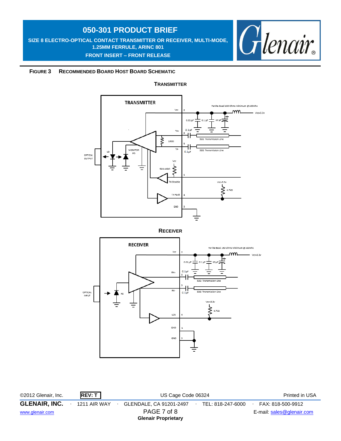**SIZE 8 ELECTRO-OPTICAL CONTACT TRANSMITTER OR RECEIVER, MULTI-MODE, 1.25MM FERRULE, ARINC 801 FRONT INSERT – FRONT RELEASE** 



### **FIGURE 3 RECOMMENDED BOARD HOST BOARD SCHEMATIC**

### **TRANSMITTER**



**RECEIVER**



©2012 Glenair, Inc. **REV: T** US Cage Code 06324 Printed in USA **GLENAIR, INC.** ∙ 1211 AIR WAY ∙ GLENDALE, CA 91201-2497∙ TEL: 818-247-6000∙ FAX: 818-500-9912 [www.glenair.com](http://www.glenair.com/) **PAGE 7 of 8** E-mail: [sales@glenair.com](mailto:sales@glenair.com) **Glenair Proprietary**